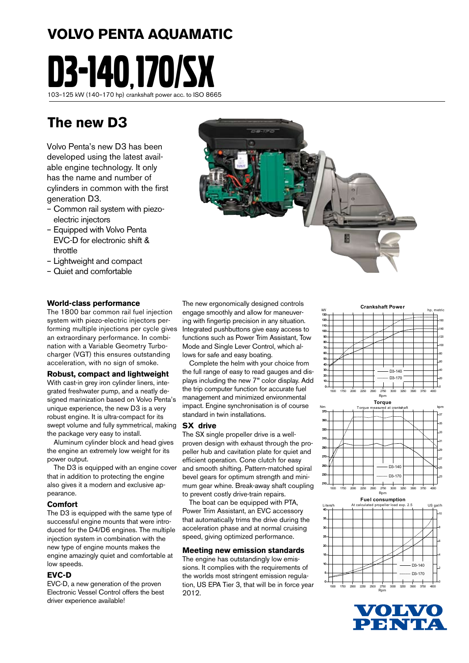# **VOLVO PENTA AQUAMATIC**



## **The new D3**

Volvo Penta's new D3 has been developed using the latest available engine technology. It only has the name and number of cylinders in common with the first generation D3.

- Common rail system with piezoelectric injectors
- Equipped with Volvo Penta EVC-D for electronic shift & throttle
- Lightweight and compact
- Quiet and comfortable

#### **World-class performance**

The 1800 bar common rail fuel injection system with piezo-electric injectors performing multiple injections per cycle gives an extraordinary performance. In combination with a Variable Geometry Turbocharger (VGT) this ensures outstanding acceleration, with no sign of smoke.

#### **Robust, compact and lightweight**

With cast-in grey iron cylinder liners, integrated freshwater pump, and a neatly designed marinization based on Volvo Penta's unique experience, the new D3 is a very robust engine. It is ultra-compact for its swept volume and fully symmetrical, making the package very easy to install.

 Aluminum cylinder block and head gives the engine an extremely low weight for its power output.

 The D3 is equipped with an engine cover that in addition to protecting the engine also gives it a modern and exclusive appearance.

#### **Comfort**

The D3 is equipped with the same type of successful engine mounts that were introduced for the D4/D6 engines. The multiple injection system in combination with the new type of engine mounts makes the engine amazingly quiet and comfortable at low speeds.

#### **EVC-D**

EVC-D, a new generation of the proven Electronic Vessel Control offers the best driver experience available!

The new ergonomically designed controls engage smoothly and allow for maneuvering with fingertip precision in any situation. Integrated pushbuttons give easy access to functions such as Power Trim Assistant, Tow Mode and Single Lever Control, which allows for safe and easy boating.

 Complete the helm with your choice from the full range of easy to read gauges and displays including the new 7" color display. Add the trip computer function for accurate fuel management and minimized environmental impact. Engine synchronisation is of course standard in twin installations.

#### **SX drive**

The SX single propeller drive is a wellproven design with exhaust through the propeller hub and cavitation plate for quiet and efficient operation. Cone clutch for easy and smooth shifting. Pattern-matched spiral bevel gears for optimum strength and minimum gear whine. Break-away shaft coupling to prevent costly drive-train repairs.

 The boat can be equipped with PTA, Power Trim Assistant, an EVC accessory that automatically trims the drive during the acceleration phase and at normal cruising speed, giving optimized performance.

#### **Meeting new emission standards**

The engine has outstandingly low emissions. It complies with the requirements of the worlds most stringent emission regulation, US EPA Tier 3, that will be in force year 2012.





Rpm